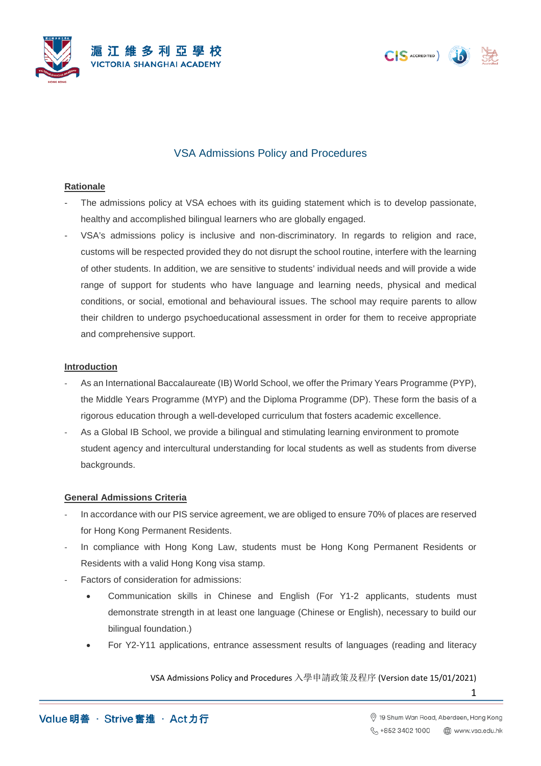





# VSA Admissions Policy and Procedures

### **Rationale**

- The admissions policy at VSA echoes with its guiding statement which is to develop passionate, healthy and accomplished bilingual learners who are globally engaged.
- VSA's admissions policy is inclusive and non-discriminatory. In regards to religion and race, customs will be respected provided they do not disrupt the school routine, interfere with the learning of other students. In addition, we are sensitive to students' individual needs and will provide a wide range of support for students who have language and learning needs, physical and medical conditions, or social, emotional and behavioural issues. The school may require parents to allow their children to undergo psychoeducational assessment in order for them to receive appropriate and comprehensive support.

### **Introduction**

- As an International Baccalaureate (IB) World School, we offer the Primary Years Programme (PYP), the Middle Years Programme (MYP) and the Diploma Programme (DP). These form the basis of a rigorous education through a well-developed curriculum that fosters academic excellence.
- As a Global IB School, we provide a bilingual and stimulating learning environment to promote student agency and intercultural understanding for local students as well as students from diverse backgrounds.

## **General Admissions Criteria**

- In accordance with our PIS service agreement, we are obliged to ensure 70% of places are reserved for Hong Kong Permanent Residents.
- In compliance with Hong Kong Law, students must be Hong Kong Permanent Residents or Residents with a valid Hong Kong visa stamp.
- Factors of consideration for admissions:
	- Communication skills in Chinese and English (For Y1-2 applicants, students must demonstrate strength in at least one language (Chinese or English), necessary to build our bilingual foundation.)
	- For Y2-Y11 applications, entrance assessment results of languages (reading and literacy

VSA Admissions Policy and Procedures 入學申請政策及程序 (Version date 15/01/2021)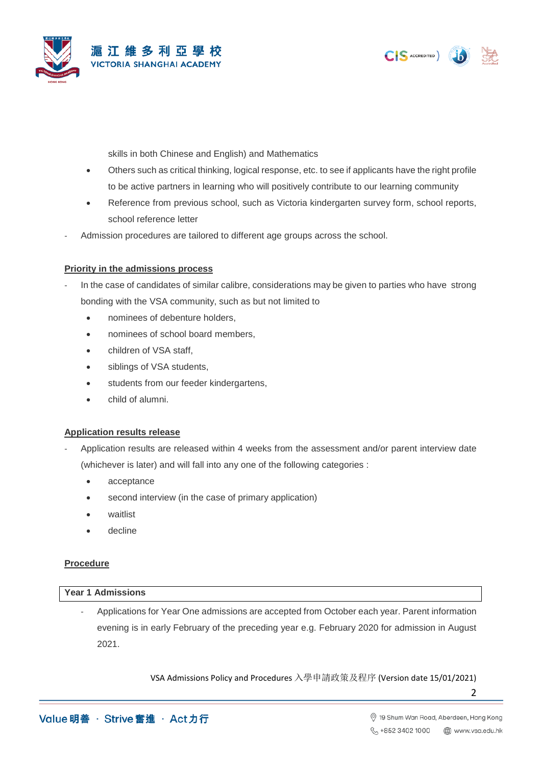



skills in both Chinese and English) and Mathematics

- Others such as critical thinking, logical response, etc. to see if applicants have the right profile to be active partners in learning who will positively contribute to our learning community
- Reference from previous school, such as Victoria kindergarten survey form, school reports, school reference letter
- Admission procedures are tailored to different age groups across the school.

### **Priority in the admissions process**

- In the case of candidates of similar calibre, considerations may be given to parties who have strong bonding with the VSA community, such as but not limited to
	- nominees of debenture holders,
	- nominees of school board members,
	- children of VSA staff,
	- siblings of VSA students,
	- students from our feeder kindergartens,
	- child of alumni.

## **Application results release**

- Application results are released within 4 weeks from the assessment and/or parent interview date (whichever is later) and will fall into any one of the following categories :
	- acceptance
	- second interview (in the case of primary application)
	- waitlist
	- decline

## **Procedure**

### **Year 1 Admissions**

Applications for Year One admissions are accepted from October each year. Parent information evening is in early February of the preceding year e.g. February 2020 for admission in August 2021.

VSA Admissions Policy and Procedures 入學申請政策及程序 (Version date 15/01/2021)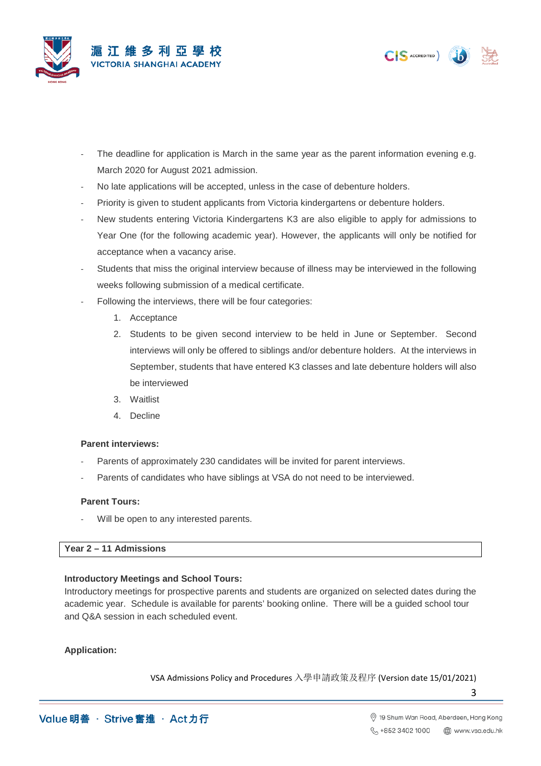



- The deadline for application is March in the same year as the parent information evening e.g. March 2020 for August 2021 admission.
- No late applications will be accepted, unless in the case of debenture holders.
- Priority is given to student applicants from Victoria kindergartens or debenture holders.
- New students entering Victoria Kindergartens K3 are also eligible to apply for admissions to Year One (for the following academic year). However, the applicants will only be notified for acceptance when a vacancy arise.
- Students that miss the original interview because of illness may be interviewed in the following weeks following submission of a medical certificate.
- Following the interviews, there will be four categories:
	- 1. Acceptance
	- 2. Students to be given second interview to be held in June or September. Second interviews will only be offered to siblings and/or debenture holders. At the interviews in September, students that have entered K3 classes and late debenture holders will also be interviewed
	- 3. Waitlist
	- 4. Decline

## **Parent interviews:**

- Parents of approximately 230 candidates will be invited for parent interviews.
- Parents of candidates who have siblings at VSA do not need to be interviewed.

### **Parent Tours:**

Will be open to any interested parents.

## **Year 2 – 11 Admissions**

## **Introductory Meetings and School Tours:**

Introductory meetings for prospective parents and students are organized on selected dates during the academic year. Schedule is available for parents' booking online. There will be a guided school tour and Q&A session in each scheduled event.

## **Application:**

VSA Admissions Policy and Procedures 入學申請政策及程序 (Version date 15/01/2021)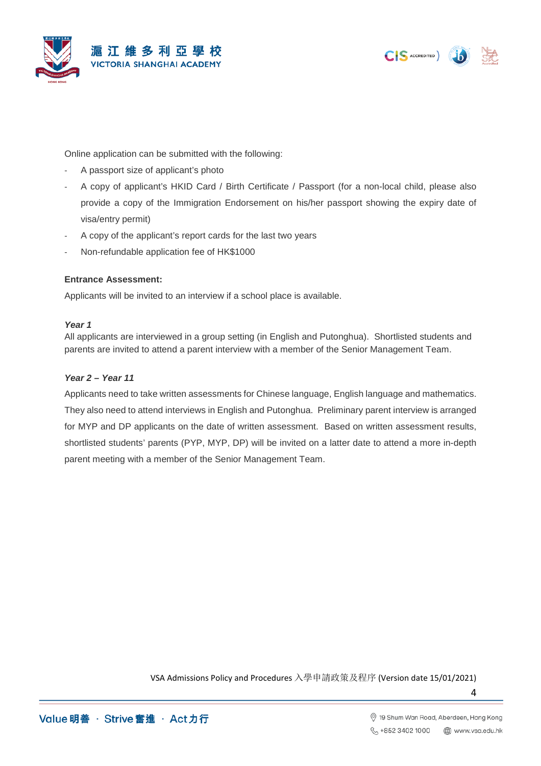





Online application can be submitted with the following:

- A passport size of applicant's photo
- A copy of applicant's HKID Card / Birth Certificate / Passport (for a non-local child, please also provide a copy of the Immigration Endorsement on his/her passport showing the expiry date of visa/entry permit)
- A copy of the applicant's report cards for the last two years
- Non-refundable application fee of HK\$1000

## **Entrance Assessment:**

Applicants will be invited to an interview if a school place is available.

## *Year 1*

All applicants are interviewed in a group setting (in English and Putonghua). Shortlisted students and parents are invited to attend a parent interview with a member of the Senior Management Team.

# *Year 2 – Year 11*

Applicants need to take written assessments for Chinese language, English language and mathematics. They also need to attend interviews in English and Putonghua. Preliminary parent interview is arranged for MYP and DP applicants on the date of written assessment. Based on written assessment results, shortlisted students' parents (PYP, MYP, DP) will be invited on a latter date to attend a more in-depth parent meeting with a member of the Senior Management Team.

VSA Admissions Policy and Procedures 入學申請政策及程序 (Version date 15/01/2021)

Value 明善 · Strive 奮進 · Act 力行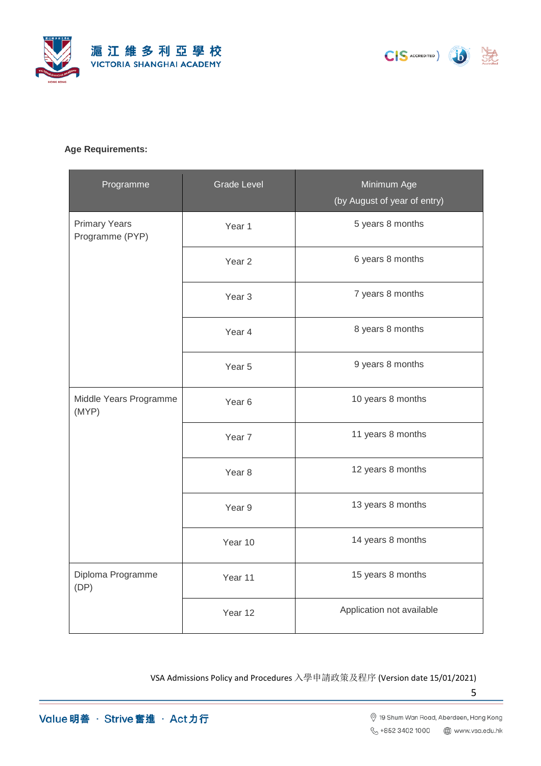





# **Age Requirements:**

| Programme                               | <b>Grade Level</b> | Minimum Age<br>(by August of year of entry) |
|-----------------------------------------|--------------------|---------------------------------------------|
| <b>Primary Years</b><br>Programme (PYP) | Year 1             | 5 years 8 months                            |
|                                         | Year <sub>2</sub>  | 6 years 8 months                            |
|                                         | Year <sub>3</sub>  | 7 years 8 months                            |
|                                         | Year 4             | 8 years 8 months                            |
|                                         | Year <sub>5</sub>  | 9 years 8 months                            |
| Middle Years Programme<br>(MYP)         | Year <sub>6</sub>  | 10 years 8 months                           |
|                                         | Year <sub>7</sub>  | 11 years 8 months                           |
|                                         | Year <sub>8</sub>  | 12 years 8 months                           |
|                                         | Year 9             | 13 years 8 months                           |
|                                         | Year 10            | 14 years 8 months                           |
| Diploma Programme<br>(DP)               | Year 11            | 15 years 8 months                           |
|                                         | Year 12            | Application not available                   |

VSA Admissions Policy and Procedures 入學申請政策及程序 (Version date 15/01/2021)

Value 明善· Strive 奮進 · Act 力行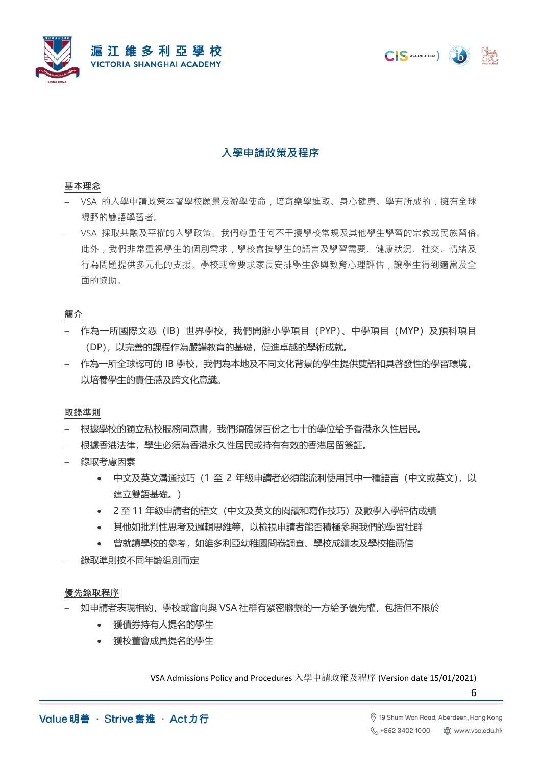





# **入學申請政策及程序**

### **基本理念**

- − VSA 的入學申請政策本著學校願景及辦學使命,培育樂學進取、身心健康、學有所成的,擁有全球 視野的雙語學習者。
- − VSA 採取共融及平權的入學政策。我們尊重任何不干擾學校常規及其他學生學習的宗教或民族習俗。 此外,我們非常重視學生的個別需求,學校會按學生的語言及學習需要、健康狀況、社交、情緒及 行為問題提供多元化的支援。學校或會要求家長安排學生參與教育心理評估,讓學生得到適當及全 面的協助。

## **簡介**

- − 作為一所國際文憑(IB)世界學校,我們開辦小學項目(PYP)、中學項目(MYP)及預科項目 (DP),以完善的課程作為嚴謹教育的基礎,促進卓越的學術成就。
- ←為一所全球認可的 IB 學校,我們為本地及不同文化背景的學生提供雙語和具啓發性的學習環境, 以培養學生的責任感及跨文化意識。

## **取錄準則**

- − 根據學校的獨立私校服務同意書,我們須確保百份之七十的學位給予香港永久性居民。
- − 根據香港法律,學生必須為香港永久性居民或持有有效的香港居留簽証。
- 録取考慮因素
	- 中文及英文溝通技巧(1 至 2 年級申請者必須能流利使用其中一種語言(中文或英文),以 建立雙語基礎。)
	- 2 至 11 年級申請者的語文(中文及英文的閱讀和寫作技巧)及數學入學評估成績
	- 其他如批判性思考及邏輯思維等,以檢視申請者能否積極參與我們的學習社群
	- 曾就讀學校的參考,如維多利亞幼稚園問卷調查、學校成績表及學校推薦信
- 録取準則按不同年齡組別而定

## 優先錄取程序

- 如申請者表現相約,學校或會向與 VSA 社群有緊密聯繫的一方給予優先權, 包括但不限於
	- 獲債券持有人提名的學生
	- 獲校董會成員提名的學生

VSA Admissions Policy and Procedures 入學申請政策及程序 (Version date 15/01/2021)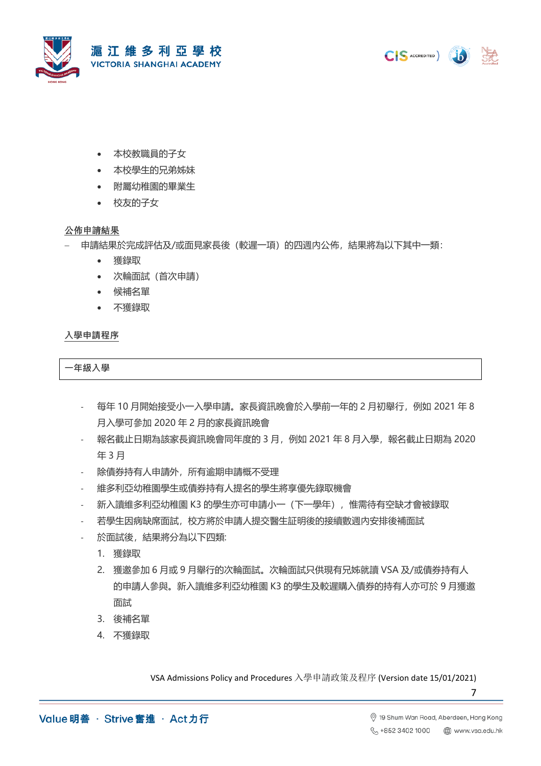





- 本校教職員的子女
- 本校學生的兄弟姊妹
- 附屬幼稚園的畢業生
- 校友的子女

# 公佈申請結果

- − 申請結果於完成評估及/或面見家長後(較遲一項)的四週內公佈,結果將為以下其中一類:
	- 獲錄取
	- 次輪面試(首次申請)
	- 候補名單
	- 不獲錄取

# **入學申請程序**

**一年級入學**

- 每年 10 月開始接受小一入學申請。家長資訊晚會於入學前一年的 2 月初舉行,例如 2021 年 8 月入學可參加 2020 年 2 月的家長資訊晚會
- 報名截止日期為該家長資訊晚會同年度的 3 月,例如 2021 年 8 月入學,報名截止日期為 2020 年 3 月
- 除債券持有人申請外,所有逾期申請概不受理
- 維多利亞幼稚園學生或債券持有人提名的學生將享優先錄取機會
- 新入讀維多利亞幼稚園 K3 的學生亦可申請小一(下一學年), 惟需待有空缺才會被錄取
- 若學生因病缺席面試,校方將於申請人提交醫生証明後的接續數週內安排後補面試
- 於面試後,結果將分為以下四類:
	- 1. 獲錄取
	- 2. 獲邀參加 6 月或 9 月舉行的次輪面試。次輪面試只供現有兄姊就讀 VSA 及/或債券持有人 的申請人參與。新入讀維多利亞幼稚園 K3 的學生及較遲購入債券的持有人亦可於 9 月獲邀 面試
	- 3. 後補名單
	- 4. 不獲錄取

VSA Admissions Policy and Procedures 入學申請政策及程序 (Version date 15/01/2021)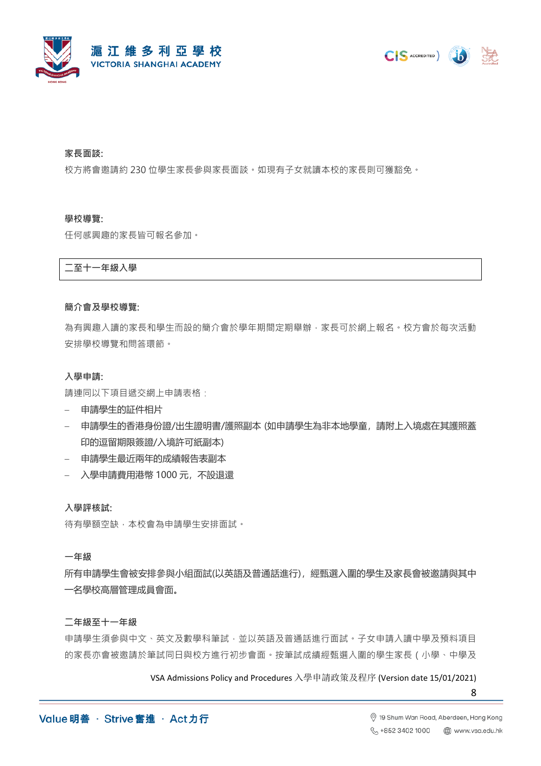



### **家長面談:**

校方將會邀請約 230 位學生家長參與家長面談。如現有子女就讀本校的家長則可獲豁免。

#### **學校導覽:**

任何感興趣的家長皆可報名參加。

**二至十一年級入學**

### **簡介會及學校導覽:**

為有興趣入讀的家長和學生而設的簡介會於學年期間定期舉辦,家長可於網上報名。校方會於每次活動 安排學校導覽和問答環節。

### **入學申請:**

請連同以下項目遞交網上申請表格:

- − 申請學生的証件相片
- − 申請學生的香港身份證/出生證明書/護照副本 (如申請學生為非本地學童,請附上入境處在其護照蓋 印的逗留期限簽證/入境許可紙副本)
- − 申請學生最近兩年的成績報告表副本
- − 入學申請費用港幣 1000 元,不設退還

**入學評核試:**

待有學額空缺,本校會為申請學生安排面試。

#### **一年級**

所有申請學生會被安排參與小組面試(以英語及普通話進行),經甄選入圍的學生及家長會被邀請與其中 一名學校高層管理成員會面。

## **二年級至十一年級**

申請學生須參與中文、英文及數學科筆試,並以英語及普通話進行面試。子女申請入讀中學及預料項目 的家長亦會被邀請於筆試同日與校方進行初步會面。按筆試成績經甄選入圍的學生家長(小學、中學及

VSA Admissions Policy and Procedures 入學申請政策及程序 (Version date 15/01/2021)